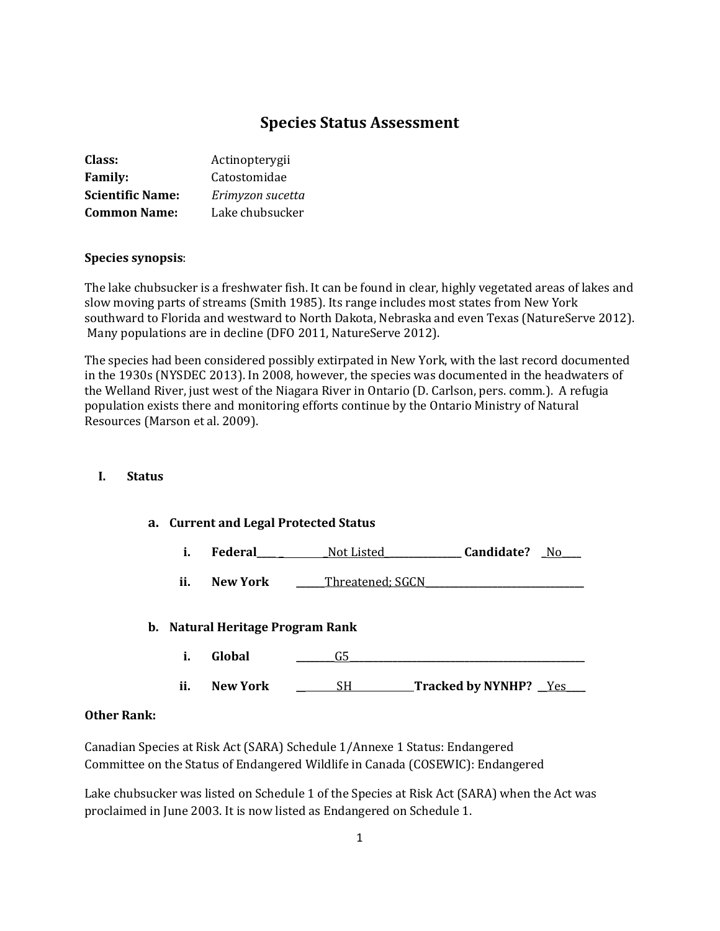# **Species Status Assessment**

| Class:                  | Actinopterygii   |
|-------------------------|------------------|
| <b>Family:</b>          | Catostomidae     |
| <b>Scientific Name:</b> | Erimyzon sucetta |
| <b>Common Name:</b>     | Lake chubsucker  |

### **Species synopsis**:

The lake chubsucker is a freshwater fish. It can be found in clear, highly vegetated areas of lakes and slow moving parts of streams (Smith 1985). Its range includes most states from New York southward to Florida and westward to North Dakota, Nebraska and even Texas (NatureServe 2012). Many populations are in decline (DFO 2011, NatureServe 2012).

The species had been considered possibly extirpated in New York, with the last record documented in the 1930s (NYSDEC 2013). In 2008, however, the species was documented in the headwaters of the Welland River, just west of the Niagara River in Ontario (D. Carlson, pers. comm.). A refugia population exists there and monitoring efforts continue by the Ontario Ministry of Natural Resources (Marson et al. 2009).

#### **I. Status**

#### **a. Current and Legal Protected Status**

| Federal | Not Listed | Candidate? | No. |
|---------|------------|------------|-----|
|         |            |            |     |

ii. New York \_\_\_\_\_Threatened; SGCN\_

#### **b. Natural Heritage Program Rank**

- **i. Global \_\_\_\_\_\_\_\_**G5**\_\_\_\_\_\_\_\_\_\_\_\_\_\_\_\_\_\_\_\_\_\_\_\_\_\_\_\_\_\_\_\_\_\_\_\_\_\_\_\_\_\_\_\_\_\_\_\_\_**
- **ii. New York \_\_** SH **Tracked by NYNHP? \_\_**Yes**\_\_\_\_**

### **Other Rank:**

Canadian Species at Risk Act (SARA) Schedule 1/Annexe 1 Status: Endangered Committee on the Status of Endangered Wildlife in Canada (COSEWIC): Endangered

Lake chubsucker was listed on Schedule 1 of the Species at Risk Act (SARA) when the Act was proclaimed in June 2003. It is now listed as Endangered on Schedule 1.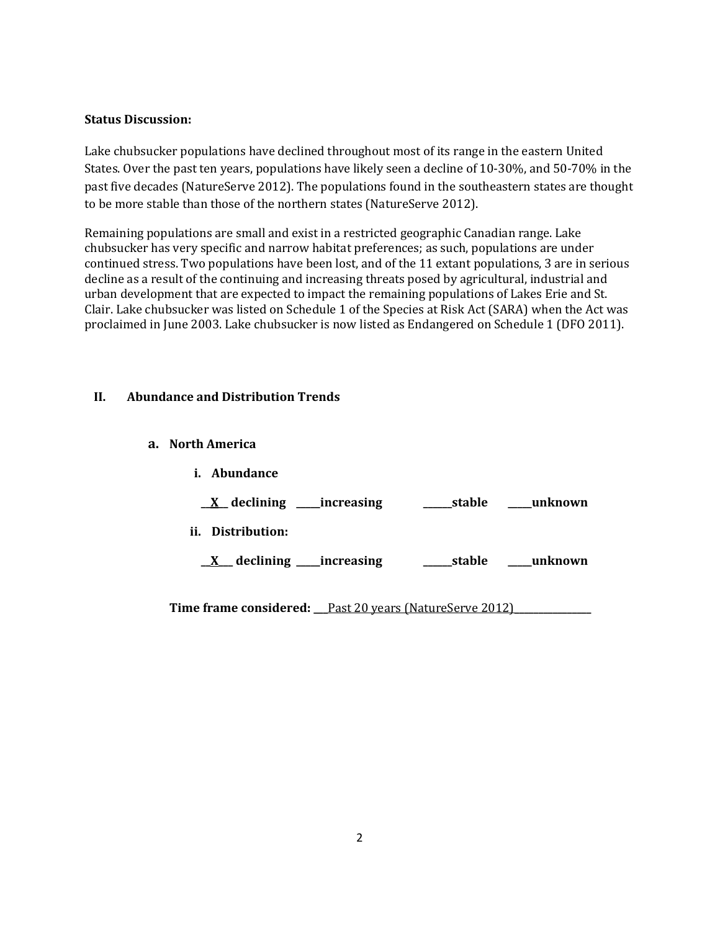### **Status Discussion:**

Lake chubsucker populations have declined throughout most of its range in the eastern United States. Over the past ten years, populations have likely seen a decline of 10-30%, and 50-70% in the past five decades (NatureServe 2012). The populations found in the southeastern states are thought to be more stable than those of the northern states (NatureServe 2012).

Remaining populations are small and exist in a restricted geographic Canadian range. Lake chubsucker has very specific and narrow habitat preferences; as such, populations are under continued stress. Two populations have been lost, and of the 11 extant populations, 3 are in serious decline as a result of the continuing and increasing threats posed by agricultural, industrial and urban development that are expected to impact the remaining populations of Lakes Erie and St. Clair. Lake chubsucker was listed on Schedule 1 of the Species at Risk Act (SARA) when the Act was proclaimed in June 2003. Lake chubsucker is now listed as Endangered on Schedule 1 (DFO 2011).

### **II. Abundance and Distribution Trends**

**a. North America**

|     | <i>i.</i> Abundance               |        |         |
|-----|-----------------------------------|--------|---------|
|     | <u>X</u> declining ____increasing | stable | unknown |
| ii. | Distribution:                     |        |         |
|     | _declining ____increasing         | stable | unknown |
|     |                                   |        |         |

**Time frame considered: \_\_\_**Past 20 years (NatureServe 2012)**\_\_\_\_\_\_\_\_\_\_\_\_\_\_\_\_**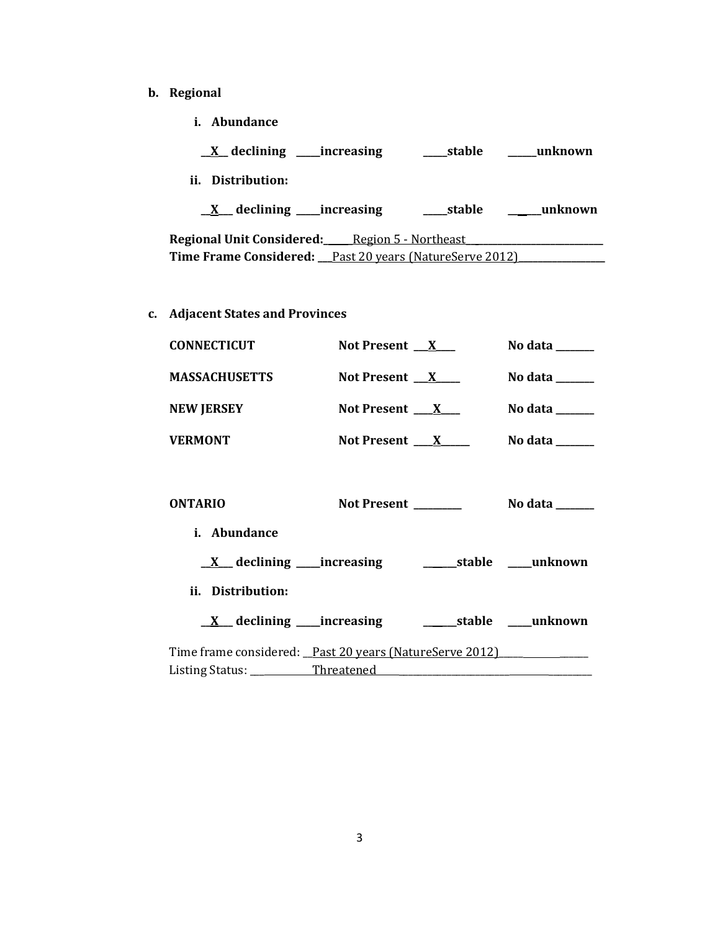- **b. Regional** 
	- **i. Abundance**

| $X$ declining ______ increasing                       | _____stable | __unknown |
|-------------------------------------------------------|-------------|-----------|
| ii. Distribution:                                     |             |           |
| $X$ declining increasing                              | stable      | unknown   |
| <b>Regional Unit Considered:</b> Region 5 - Northeast |             |           |
|                                                       |             |           |

**c. Adjacent States and Provinces**

| <b>CONNECTICUT</b>           | Not Present $X$     | No data ______                     |
|------------------------------|---------------------|------------------------------------|
| <b>MASSACHUSETTS</b>         | Not Present $X$     | No data ______                     |
| <b>NEW JERSEY</b>            | Not Present $X_{-}$ | No data $\_\_\_\_\_\_\_\_\_\_\_\_$ |
| <b>VERMONT</b>               | Not Present $X$     | No data $\frac{1}{2}$              |
|                              |                     |                                    |
| <b>ONTARIO</b>               | <b>Not Present</b>  | No data ______                     |
| <i>i.</i> Abundance          |                     |                                    |
| $X$ declining ____increasing | stable              | unknown                            |

**ii. Distribution:**

| $\underline{X}$ declining _____increasing               |  | <b>Contract Contract</b> | stable unknown |
|---------------------------------------------------------|--|--------------------------|----------------|
| Time frame considered: Past 20 years (NatureServe 2012) |  |                          |                |

Listing Status: \_\_\_ Threatened \_\_\_\_\_\_\_\_\_\_\_\_\_\_\_\_\_\_\_\_\_\_\_ \_\_\_\_\_\_\_\_\_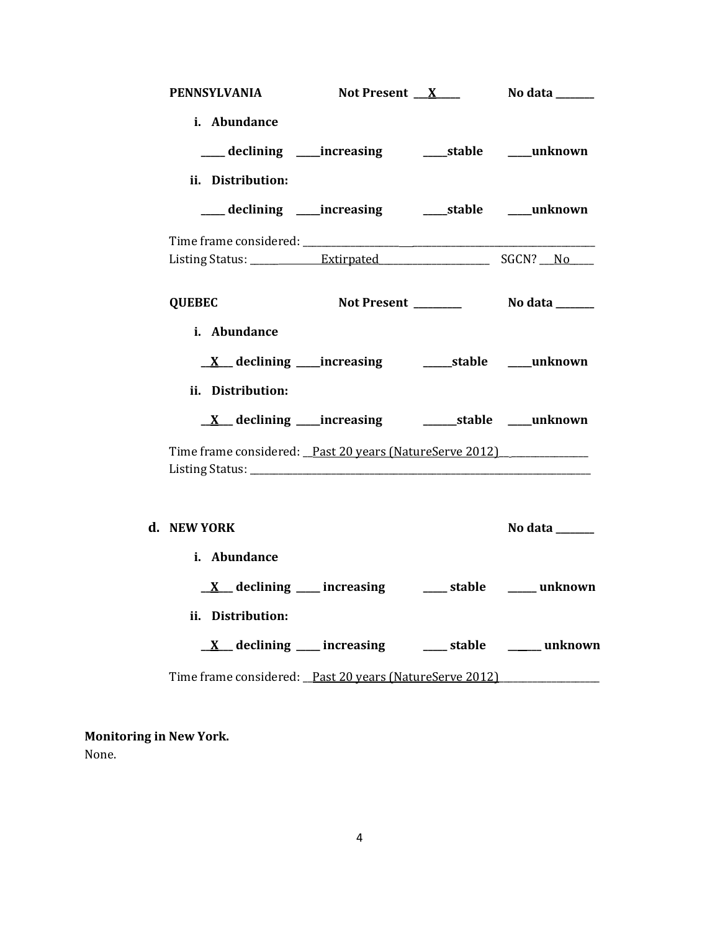| <b>PENNSYLVANIA</b>                                                          | Not Present $X_{-}$                                             | No data _______ |
|------------------------------------------------------------------------------|-----------------------------------------------------------------|-----------------|
| i. Abundance<br>ii. Distribution:                                            | ___ declining ____ increasing ______ stable _____ unknown       |                 |
|                                                                              | ___ declining ___ increasing ____ stable ___ unknown            |                 |
|                                                                              |                                                                 |                 |
| <b>QUEBEC</b>                                                                |                                                                 |                 |
| i. Abundance<br>ii. Distribution:                                            |                                                                 |                 |
|                                                                              |                                                                 |                 |
| Time frame considered: Past 20 years (NatureServe 2012)                      |                                                                 |                 |
| d. NEW YORK                                                                  |                                                                 | No data ______  |
| i. Abundance                                                                 | $\underline{X}$ declining ___ increasing ___ stable ___ unknown |                 |
| ii. Distribution:<br>Time frame considered: Past 20 years (NatureServe 2012) | <u>X</u> declining increasing and stable a unknown              |                 |
|                                                                              |                                                                 |                 |

**Monitoring in New York.** None.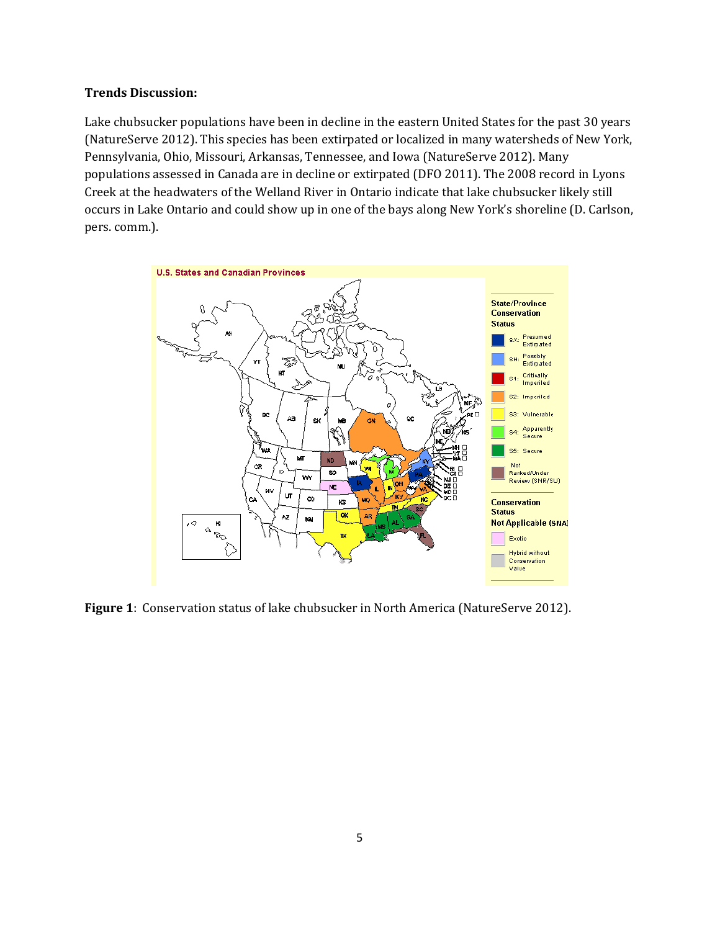#### **Trends Discussion:**

Lake chubsucker populations have been in decline in the eastern United States for the past 30 years (NatureServe 2012). This species has been extirpated or localized in many watersheds of New York, Pennsylvania, Ohio, Missouri, Arkansas, Tennessee, and Iowa (NatureServe 2012). Many populations assessed in Canada are in decline or extirpated (DFO 2011). The 2008 record in Lyons Creek at the headwaters of the Welland River in Ontario indicate that lake chubsucker likely still occurs in Lake Ontario and could show up in one of the bays along New York's shoreline (D. Carlson, pers. comm.).



**Figure 1**: Conservation status of lake chubsucker in North America (NatureServe 2012).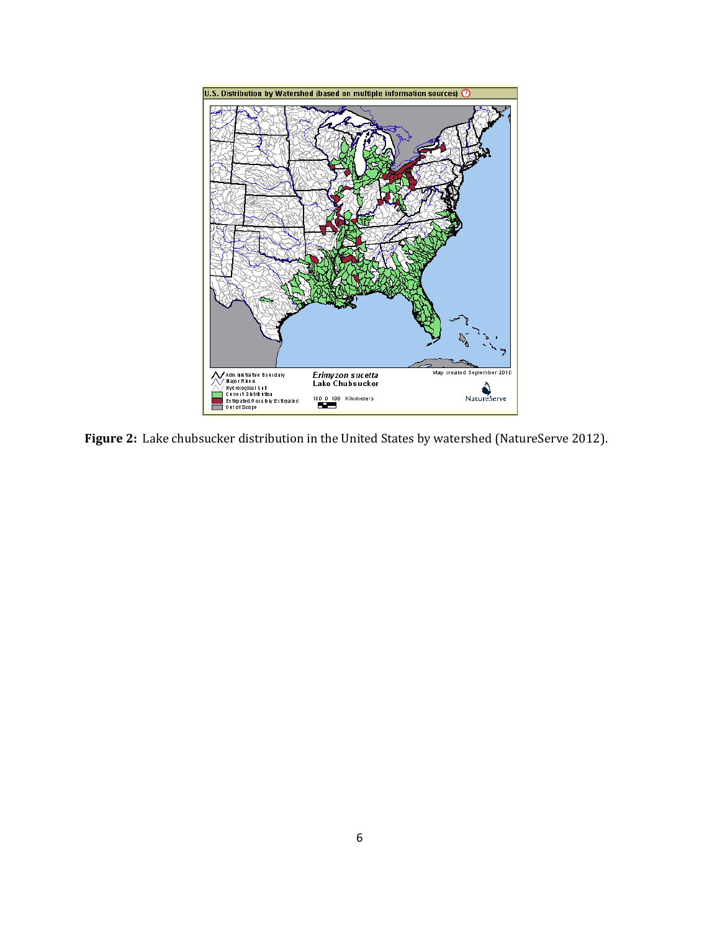

**Figure 2:** Lake chubsucker distribution in the United States by watershed (NatureServe 2012).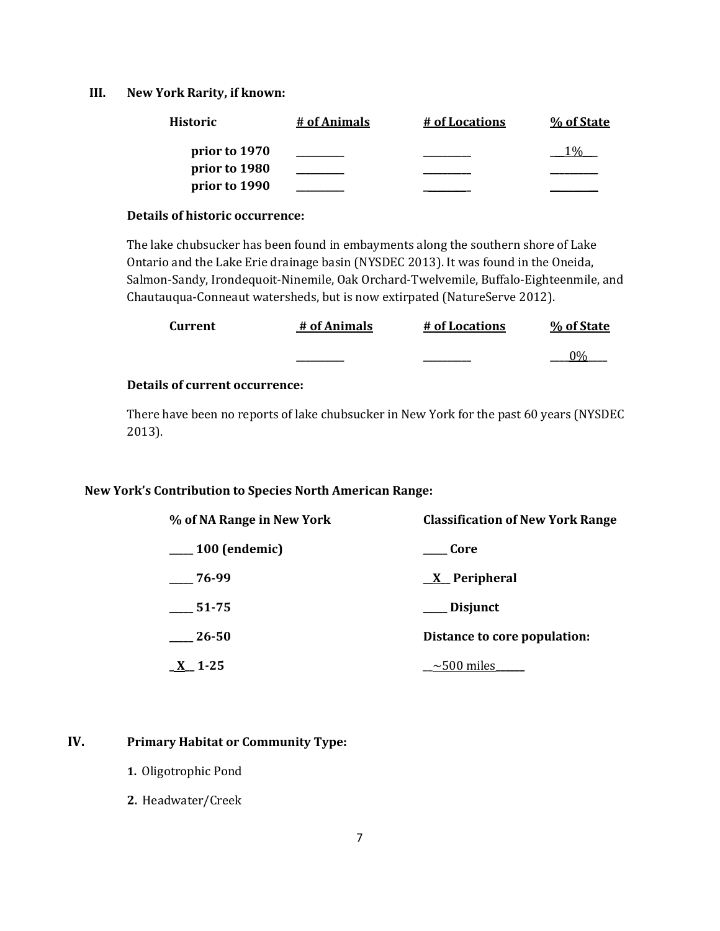#### **III. New York Rarity, if known:**

| <b>Historic</b> | # of Animals | # of Locations | % of State |
|-----------------|--------------|----------------|------------|
| prior to 1970   |              |                |            |
| prior to 1980   |              |                |            |
| prior to 1990   |              |                |            |

#### **Details of historic occurrence:**

The lake chubsucker has been found in embayments along the southern shore of Lake Ontario and the Lake Erie drainage basin (NYSDEC 2013). It was found in the Oneida, Salmon-Sandy, Irondequoit-Ninemile, Oak Orchard-Twelvemile, Buffalo-Eighteenmile, and Chautauqua-Conneaut watersheds, but is now extirpated (NatureServe 2012).

| Current | # of Animals | # of Locations | % of State |
|---------|--------------|----------------|------------|
|         |              |                | በ0ራ        |

### **Details of current occurrence:**

There have been no reports of lake chubsucker in New York for the past 60 years (NYSDEC 2013).

#### **New York's Contribution to Species North American Range:**

| % of NA Range in New York | <b>Classification of New York Range</b> |
|---------------------------|-----------------------------------------|
| $\frac{100}{2}$ (endemic) | Core                                    |
| 76-99                     | $X$ Peripheral                          |
| $-51-75$                  | ___ Disjunct                            |
| 26-50                     | Distance to core population:            |
| $\underline{X}$ 1-25      | $\sim$ 500 miles                        |

### **IV. Primary Habitat or Community Type:**

- **1.** Oligotrophic Pond
- **2.** Headwater/Creek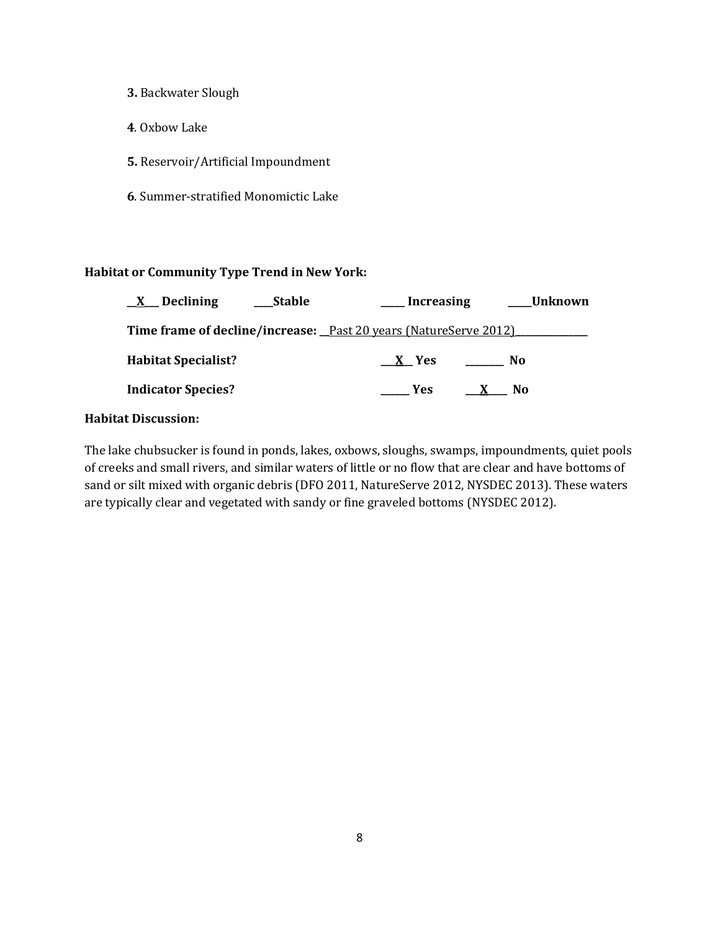### **3.** Backwater Slough

- **4**. Oxbow Lake
- **5.** Reservoir/Artificial Impoundment
- **6**. Summer-stratified Monomictic Lake

# **Habitat or Community Type Trend in New York:**

| $X$ Declining                                                                  | _Stable | Increasing |                     | Unknown |
|--------------------------------------------------------------------------------|---------|------------|---------------------|---------|
| <b>Time frame of decline/increase:</b> <u>Past 20 years (NatureServe 2012)</u> |         |            |                     |         |
| <b>Habitat Specialist?</b>                                                     |         | $X$ Yes    | <b>No</b>           |         |
| <b>Indicator Species?</b>                                                      |         | Yes        | No.<br>$\mathbf{X}$ |         |
|                                                                                |         |            |                     |         |

### **Habitat Discussion:**

The lake chubsucker is found in ponds, lakes, oxbows, sloughs, swamps, impoundments, quiet pools of creeks and small rivers, and similar waters of little or no flow that are clear and have bottoms of sand or silt mixed with organic debris (DFO 2011, NatureServe 2012, NYSDEC 2013). These waters are typically clear and vegetated with sandy or fine graveled bottoms (NYSDEC 2012).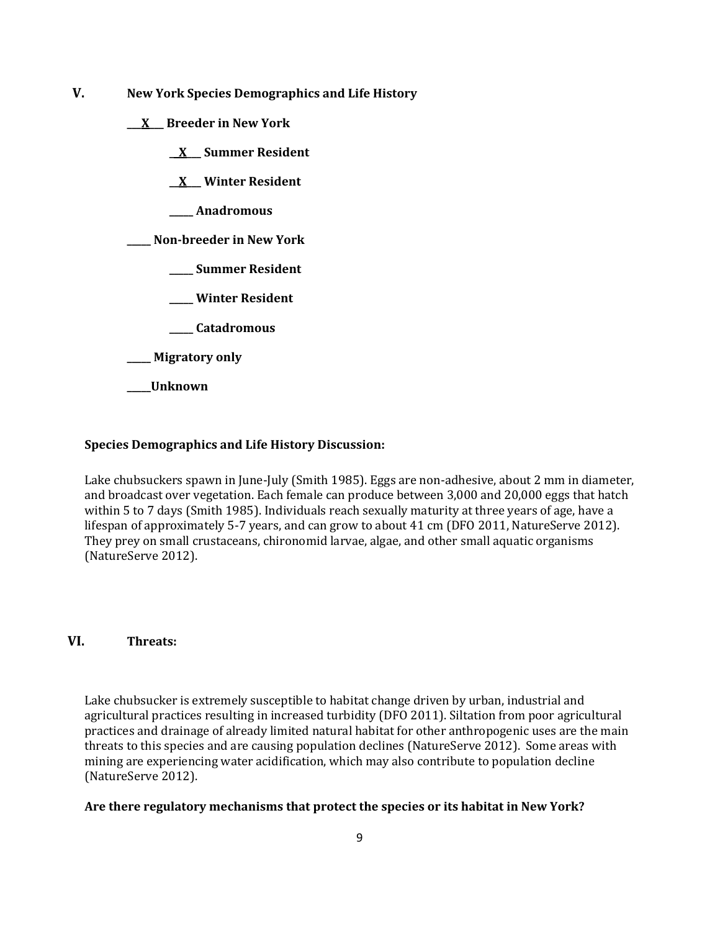- **V. New York Species Demographics and Life History**
	- **\_\_\_X\_\_\_ Breeder in New York**
		- **\_\_X\_\_\_ Summer Resident**

**\_\_X\_\_\_ Winter Resident**

**\_\_\_\_\_ Anadromous**

**\_\_\_\_\_ Non-breeder in New York**

- **\_\_\_\_\_ Summer Resident**
- **\_\_\_\_\_ Winter Resident**
- **\_\_\_\_\_ Catadromous**
- **\_\_\_\_\_ Migratory only**
- **\_\_\_\_\_Unknown**

### **Species Demographics and Life History Discussion:**

Lake chubsuckers spawn in June-July (Smith 1985). Eggs are non-adhesive, about 2 mm in diameter, and broadcast over vegetation. Each female can produce between 3,000 and 20,000 eggs that hatch within 5 to 7 days (Smith 1985). Individuals reach sexually maturity at three years of age, have a lifespan of approximately 5-7 years, and can grow to about 41 cm (DFO 2011, NatureServe 2012). They prey on small crustaceans, chironomid larvae, algae, and other small aquatic organisms (NatureServe 2012).

### **VI. Threats:**

Lake chubsucker is extremely susceptible to habitat change driven by urban, industrial and agricultural practices resulting in increased turbidity (DFO 2011). Siltation from poor agricultural practices and drainage of already limited natural habitat for other anthropogenic uses are the main threats to this species and are causing population declines (NatureServe 2012). Some areas with mining are experiencing water acidification, which may also contribute to population decline (NatureServe 2012).

#### **Are there regulatory mechanisms that protect the species or its habitat in New York?**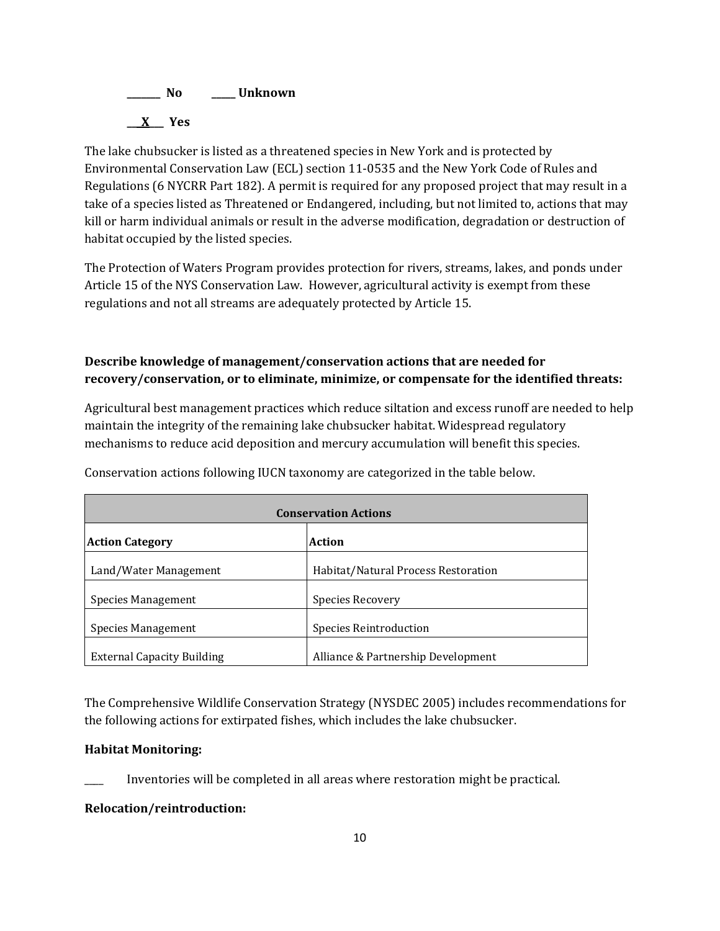

The lake chubsucker is listed as a threatened species in New York and is protected by Environmental Conservation Law (ECL) section 11-0535 and the New York Code of Rules and Regulations (6 NYCRR Part 182). A permit is required for any proposed project that may result in a take of a species listed as Threatened or Endangered, including, but not limited to, actions that may kill or harm individual animals or result in the adverse modification, degradation or destruction of habitat occupied by the listed species.

The Protection of Waters Program provides protection for rivers, streams, lakes, and ponds under Article 15 of the NYS Conservation Law. However, agricultural activity is exempt from these regulations and not all streams are adequately protected by Article 15.

# **Describe knowledge of management/conservation actions that are needed for recovery/conservation, or to eliminate, minimize, or compensate for the identified threats:**

Agricultural best management practices which reduce siltation and excess runoff are needed to help maintain the integrity of the remaining lake chubsucker habitat. Widespread regulatory mechanisms to reduce acid deposition and mercury accumulation will benefit this species.

| <b>Conservation Actions</b>       |                                     |  |
|-----------------------------------|-------------------------------------|--|
| <b>Action Category</b>            | <b>Action</b>                       |  |
| Land/Water Management             | Habitat/Natural Process Restoration |  |
| Species Management                | Species Recovery                    |  |
| Species Management                | Species Reintroduction              |  |
| <b>External Capacity Building</b> | Alliance & Partnership Development  |  |

Conservation actions following IUCN taxonomy are categorized in the table below.

The Comprehensive Wildlife Conservation Strategy (NYSDEC 2005) includes recommendations for the following actions for extirpated fishes, which includes the lake chubsucker.

### **Habitat Monitoring:**

Inventories will be completed in all areas where restoration might be practical.

### **Relocation/reintroduction:**